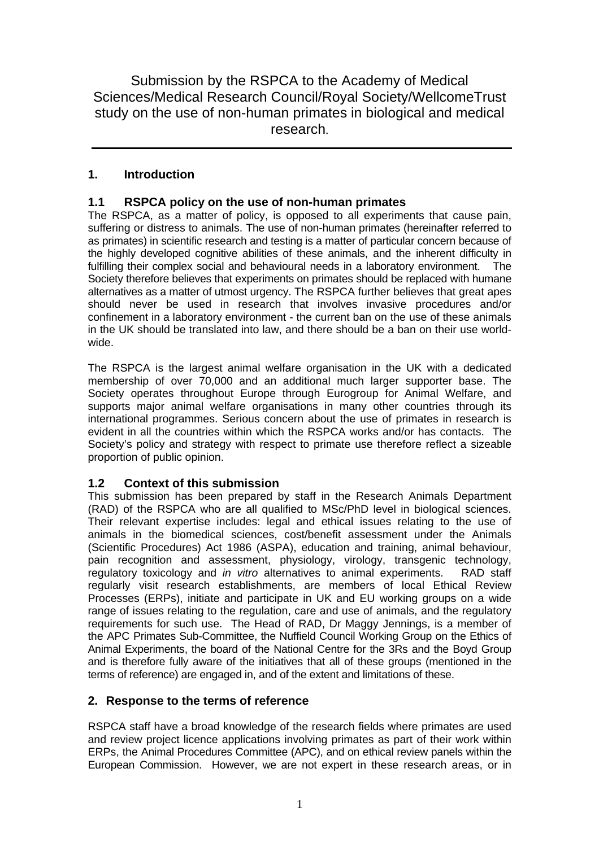Submission by the RSPCA to the Academy of Medical Sciences/Medical Research Council/Royal Society/WellcomeTrust study on the use of non-human primates in biological and medical research.

# **1. Introduction**

# **1.1 RSPCA policy on the use of non-human primates**

The RSPCA, as a matter of policy, is opposed to all experiments that cause pain, suffering or distress to animals. The use of non-human primates (hereinafter referred to as primates) in scientific research and testing is a matter of particular concern because of the highly developed cognitive abilities of these animals, and the inherent difficulty in fulfilling their complex social and behavioural needs in a laboratory environment. The Society therefore believes that experiments on primates should be replaced with humane alternatives as a matter of utmost urgency. The RSPCA further believes that great apes should never be used in research that involves invasive procedures and/or confinement in a laboratory environment - the current ban on the use of these animals in the UK should be translated into law, and there should be a ban on their use worldwide.

The RSPCA is the largest animal welfare organisation in the UK with a dedicated membership of over 70,000 and an additional much larger supporter base. The Society operates throughout Europe through Eurogroup for Animal Welfare, and supports major animal welfare organisations in many other countries through its international programmes. Serious concern about the use of primates in research is evident in all the countries within which the RSPCA works and/or has contacts. The Society's policy and strategy with respect to primate use therefore reflect a sizeable proportion of public opinion.

## **1.2 Context of this submission**

This submission has been prepared by staff in the Research Animals Department (RAD) of the RSPCA who are all qualified to MSc/PhD level in biological sciences. Their relevant expertise includes: legal and ethical issues relating to the use of animals in the biomedical sciences, cost/benefit assessment under the Animals (Scientific Procedures) Act 1986 (ASPA), education and training, animal behaviour, pain recognition and assessment, physiology, virology, transgenic technology, regulatory toxicology and *in vitro* alternatives to animal experiments. RAD staff regularly visit research establishments, are members of local Ethical Review Processes (ERPs), initiate and participate in UK and EU working groups on a wide range of issues relating to the regulation, care and use of animals, and the regulatory requirements for such use. The Head of RAD, Dr Maggy Jennings, is a member of the APC Primates Sub-Committee, the Nuffield Council Working Group on the Ethics of Animal Experiments, the board of the National Centre for the 3Rs and the Boyd Group and is therefore fully aware of the initiatives that all of these groups (mentioned in the terms of reference) are engaged in, and of the extent and limitations of these.

## **2. Response to the terms of reference**

RSPCA staff have a broad knowledge of the research fields where primates are used and review project licence applications involving primates as part of their work within ERPs, the Animal Procedures Committee (APC), and on ethical review panels within the European Commission. However, we are not expert in these research areas, or in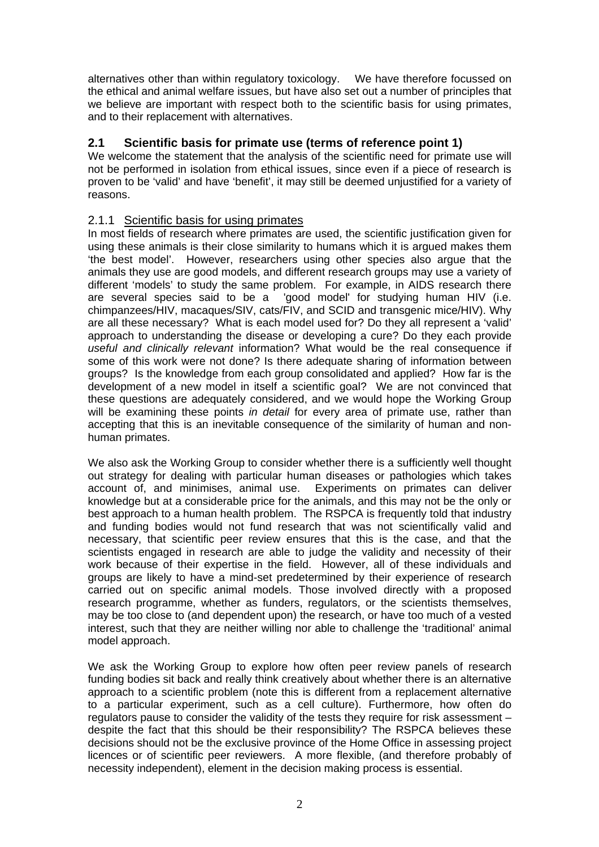alternatives other than within regulatory toxicology. We have therefore focussed on the ethical and animal welfare issues, but have also set out a number of principles that we believe are important with respect both to the scientific basis for using primates, and to their replacement with alternatives.

## **2.1 Scientific basis for primate use (terms of reference point 1)**

We welcome the statement that the analysis of the scientific need for primate use will not be performed in isolation from ethical issues, since even if a piece of research is proven to be 'valid' and have 'benefit', it may still be deemed unjustified for a variety of reasons.

## 2.1.1 Scientific basis for using primates

In most fields of research where primates are used, the scientific justification given for using these animals is their close similarity to humans which it is argued makes them 'the best model'. However, researchers using other species also argue that the animals they use are good models, and different research groups may use a variety of different 'models' to study the same problem. For example, in AIDS research there are several species said to be a 'good model' for studying human HIV (i.e. chimpanzees/HIV, macaques/SIV, cats/FIV, and SCID and transgenic mice/HIV). Why are all these necessary? What is each model used for? Do they all represent a 'valid' approach to understanding the disease or developing a cure? Do they each provide *useful and clinically relevant* information? What would be the real consequence if some of this work were not done? Is there adequate sharing of information between groups? Is the knowledge from each group consolidated and applied? How far is the development of a new model in itself a scientific goal? We are not convinced that these questions are adequately considered, and we would hope the Working Group will be examining these points *in detail* for every area of primate use, rather than accepting that this is an inevitable consequence of the similarity of human and nonhuman primates.

We also ask the Working Group to consider whether there is a sufficiently well thought out strategy for dealing with particular human diseases or pathologies which takes account of, and minimises, animal use. Experiments on primates can deliver knowledge but at a considerable price for the animals, and this may not be the only or best approach to a human health problem. The RSPCA is frequently told that industry and funding bodies would not fund research that was not scientifically valid and necessary, that scientific peer review ensures that this is the case, and that the scientists engaged in research are able to judge the validity and necessity of their work because of their expertise in the field. However, all of these individuals and groups are likely to have a mind-set predetermined by their experience of research carried out on specific animal models. Those involved directly with a proposed research programme, whether as funders, regulators, or the scientists themselves, may be too close to (and dependent upon) the research, or have too much of a vested interest, such that they are neither willing nor able to challenge the 'traditional' animal model approach.

We ask the Working Group to explore how often peer review panels of research funding bodies sit back and really think creatively about whether there is an alternative approach to a scientific problem (note this is different from a replacement alternative to a particular experiment, such as a cell culture). Furthermore, how often do regulators pause to consider the validity of the tests they require for risk assessment – despite the fact that this should be their responsibility? The RSPCA believes these decisions should not be the exclusive province of the Home Office in assessing project licences or of scientific peer reviewers. A more flexible, (and therefore probably of necessity independent), element in the decision making process is essential.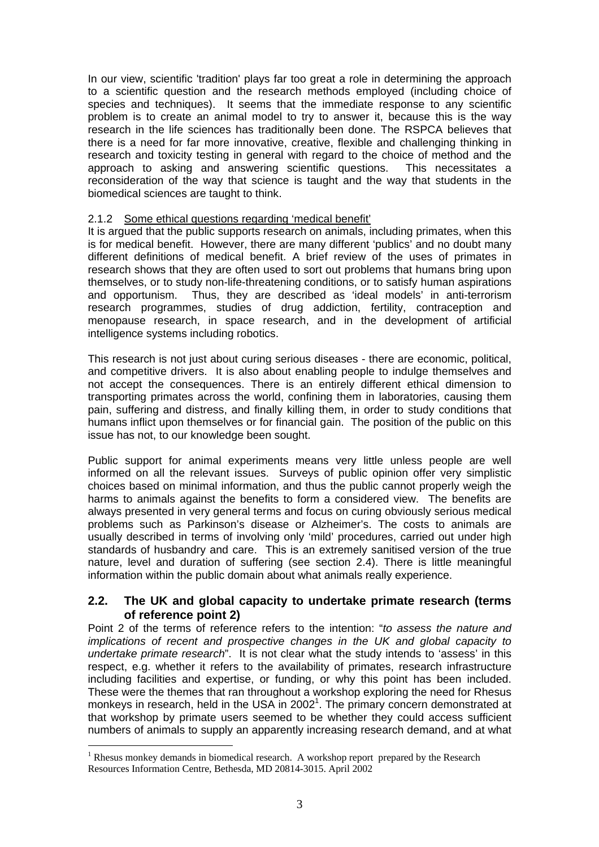In our view, scientific 'tradition' plays far too great a role in determining the approach to a scientific question and the research methods employed (including choice of species and techniques). It seems that the immediate response to any scientific problem is to create an animal model to try to answer it, because this is the way research in the life sciences has traditionally been done. The RSPCA believes that there is a need for far more innovative, creative, flexible and challenging thinking in research and toxicity testing in general with regard to the choice of method and the approach to asking and answering scientific questions. This necessitates a reconsideration of the way that science is taught and the way that students in the biomedical sciences are taught to think.

### 2.1.2 Some ethical questions regarding 'medical benefit'

It is argued that the public supports research on animals, including primates, when this is for medical benefit. However, there are many different 'publics' and no doubt many different definitions of medical benefit. A brief review of the uses of primates in research shows that they are often used to sort out problems that humans bring upon themselves, or to study non-life-threatening conditions, or to satisfy human aspirations and opportunism. Thus, they are described as 'ideal models' in anti-terrorism research programmes, studies of drug addiction, fertility, contraception and menopause research, in space research, and in the development of artificial intelligence systems including robotics.

This research is not just about curing serious diseases - there are economic, political, and competitive drivers. It is also about enabling people to indulge themselves and not accept the consequences. There is an entirely different ethical dimension to transporting primates across the world, confining them in laboratories, causing them pain, suffering and distress, and finally killing them, in order to study conditions that humans inflict upon themselves or for financial gain. The position of the public on this issue has not, to our knowledge been sought.

Public support for animal experiments means very little unless people are well informed on all the relevant issues. Surveys of public opinion offer very simplistic choices based on minimal information, and thus the public cannot properly weigh the harms to animals against the benefits to form a considered view. The benefits are always presented in very general terms and focus on curing obviously serious medical problems such as Parkinson's disease or Alzheimer's. The costs to animals are usually described in terms of involving only 'mild' procedures, carried out under high standards of husbandry and care. This is an extremely sanitised version of the true nature, level and duration of suffering (see section 2.4). There is little meaningful information within the public domain about what animals really experience.

### **2.2. The UK and global capacity to undertake primate research (terms of reference point 2)**

Point 2 of the terms of reference refers to the intention: "*to assess the nature and implications of recent and prospective changes in the UK and global capacity to undertake primate research*". It is not clear what the study intends to 'assess' in this respect, e.g. whether it refers to the availability of primates, research infrastructure including facilities and expertise, or funding, or why this point has been included. These were the themes that ran throughout a workshop exploring the need for Rhesus monkeys in research, held in the USA in [2](#page-2-0)002<sup>1</sup>. The primary concern demonstrated at that workshop by primate users seemed to be whether they could access sufficient numbers of animals to supply an apparently increasing research demand, and at what

 $\overline{a}$ 

<span id="page-2-0"></span> $<sup>1</sup>$  Rhesus monkey demands in biomedical research. A workshop report prepared by the Research</sup> Resources Information Centre, Bethesda, MD 20814-3015. April 2002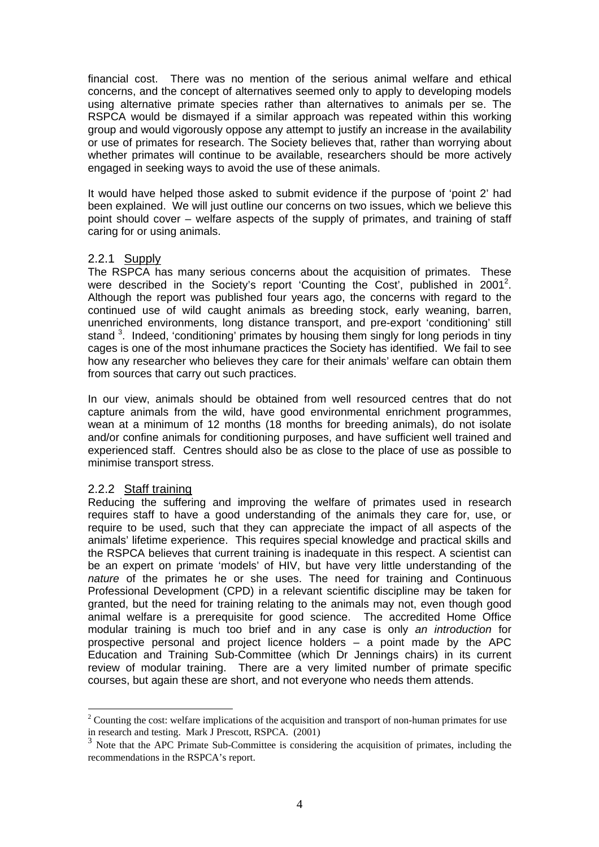financial cost. There was no mention of the serious animal welfare and ethical concerns, and the concept of alternatives seemed only to apply to developing models using alternative primate species rather than alternatives to animals per se. The RSPCA would be dismayed if a similar approach was repeated within this working group and would vigorously oppose any attempt to justify an increase in the availability or use of primates for research. The Society believes that, rather than worrying about whether primates will continue to be available, researchers should be more actively engaged in seeking ways to avoid the use of these animals.

It would have helped those asked to submit evidence if the purpose of 'point 2' had been explained. We will just outline our concerns on two issues, which we believe this point should cover – welfare aspects of the supply of primates, and training of staff caring for or using animals.

### 2.2.1 Supply

The RSPCA has many serious concerns about the acquisition of primates. These were described in the Society's report 'Counting the Cost', published in 2001<sup>2</sup>. Although the report was published four years ago, the concerns with regard to the continued use of wild caught animals as breeding stock, early weaning, barren, unenriched environments, long distance transport, and pre-export 'conditioning' still stand <sup>[3](#page-3-1)</sup>. Indeed, 'conditioning' primates by housing them singly for long periods in tiny cages is one of the most inhumane practices the Society has identified. We fail to see how any researcher who believes they care for their animals' welfare can obtain them from sources that carry out such practices.

In our view, animals should be obtained from well resourced centres that do not capture animals from the wild, have good environmental enrichment programmes, wean at a minimum of 12 months (18 months for breeding animals), do not isolate and/or confine animals for conditioning purposes, and have sufficient well trained and experienced staff. Centres should also be as close to the place of use as possible to minimise transport stress.

### 2.2.2 Staff training

 $\overline{a}$ 

Reducing the suffering and improving the welfare of primates used in research requires staff to have a good understanding of the animals they care for, use, or require to be used, such that they can appreciate the impact of all aspects of the animals' lifetime experience. This requires special knowledge and practical skills and the RSPCA believes that current training is inadequate in this respect. A scientist can be an expert on primate 'models' of HIV, but have very little understanding of the *nature* of the primates he or she uses. The need for training and Continuous Professional Development (CPD) in a relevant scientific discipline may be taken for granted, but the need for training relating to the animals may not, even though good animal welfare is a prerequisite for good science. The accredited Home Office modular training is much too brief and in any case is only *an introduction* for prospective personal and project licence holders – a point made by the APC Education and Training Sub-Committee (which Dr Jennings chairs) in its current review of modular training. There are a very limited number of primate specific courses, but again these are short, and not everyone who needs them attends.

<span id="page-3-0"></span><sup>&</sup>lt;sup>2</sup> Counting the cost: welfare implications of the acquisition and transport of non-human primates for use in research and testing. Mark J Prescott, RSPCA. (2001)

<span id="page-3-1"></span><sup>&</sup>lt;sup>3</sup> Note that the APC Primate Sub-Committee is considering the acquisition of primates, including the recommendations in the RSPCA's report.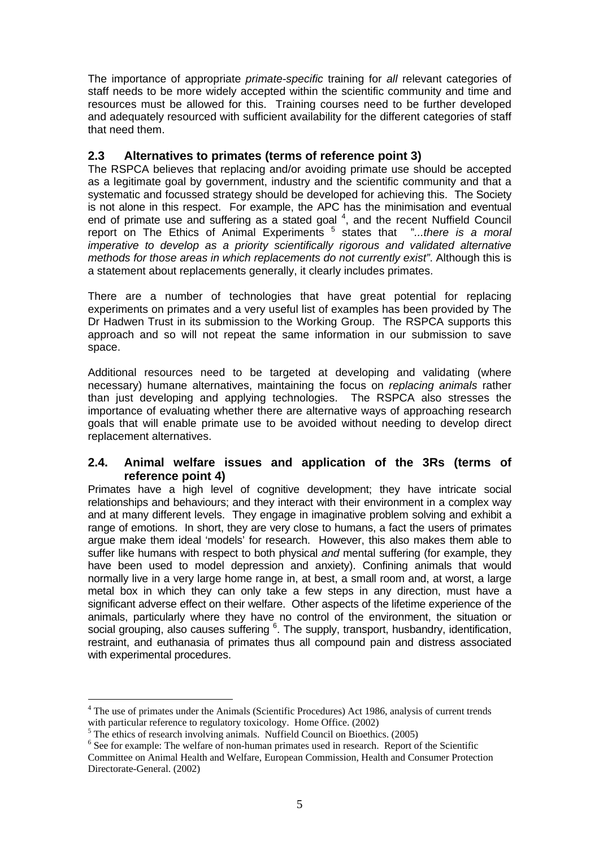The importance of appropriate *primate-specific* training for *all* relevant categories of staff needs to be more widely accepted within the scientific community and time and resources must be allowed for this. Training courses need to be further developed and adequately resourced with sufficient availability for the different categories of staff that need them.

## **2.3 Alternatives to primates (terms of reference point 3)**

The RSPCA believes that replacing and/or avoiding primate use should be accepted as a legitimate goal by government, industry and the scientific community and that a systematic and focussed strategy should be developed for achieving this. The Society is not alone in this respect. For example, the APC has the minimisation and eventual end of primate use and suffering as a stated goal  $4$ , and the recent Nuffield Council report on The Ethics of Animal Experiments <sup>[5](#page-4-1)</sup> states that "...there is a moral *imperative to develop as a priority scientifically rigorous and validated alternative methods for those areas in which replacements do not currently exist"*. Although this is a statement about replacements generally, it clearly includes primates.

There are a number of technologies that have great potential for replacing experiments on primates and a very useful list of examples has been provided by The Dr Hadwen Trust in its submission to the Working Group. The RSPCA supports this approach and so will not repeat the same information in our submission to save space.

Additional resources need to be targeted at developing and validating (where necessary) humane alternatives, maintaining the focus on *replacing animals* rather than just developing and applying technologies. The RSPCA also stresses the importance of evaluating whether there are alternative ways of approaching research goals that will enable primate use to be avoided without needing to develop direct replacement alternatives.

## **2.4. Animal welfare issues and application of the 3Rs (terms of reference point 4)**

Primates have a high level of cognitive development; they have intricate social relationships and behaviours; and they interact with their environment in a complex way and at many different levels. They engage in imaginative problem solving and exhibit a range of emotions. In short, they are very close to humans, a fact the users of primates argue make them ideal 'models' for research. However, this also makes them able to suffer like humans with respect to both physical *and* mental suffering (for example, they have been used to model depression and anxiety). Confining animals that would normally live in a very large home range in, at best, a small room and, at worst, a large metal box in which they can only take a few steps in any direction, must have a significant adverse effect on their welfare. Other aspects of the lifetime experience of the animals, particularly where they have no control of the environment, the situation or social grouping, also causes suffering <sup>[6](#page-4-2)</sup>. The supply, transport, husbandry, identification, restraint, and euthanasia of primates thus all compound pain and distress associated with experimental procedures.

 $\overline{a}$ 

<span id="page-4-0"></span> $4$  The use of primates under the Animals (Scientific Procedures) Act 1986, analysis of current trends with particular reference to regulatory toxicology. Home Office. (2002)<br><sup>5</sup> The ethics of research involving animals. Nuffield Council on Bioethics. (2005)

<span id="page-4-1"></span>

<span id="page-4-2"></span> $6$  See for example: The welfare of non-human primates used in research. Report of the Scientific Committee on Animal Health and Welfare, European Commission, Health and Consumer Protection Directorate-General. (2002)